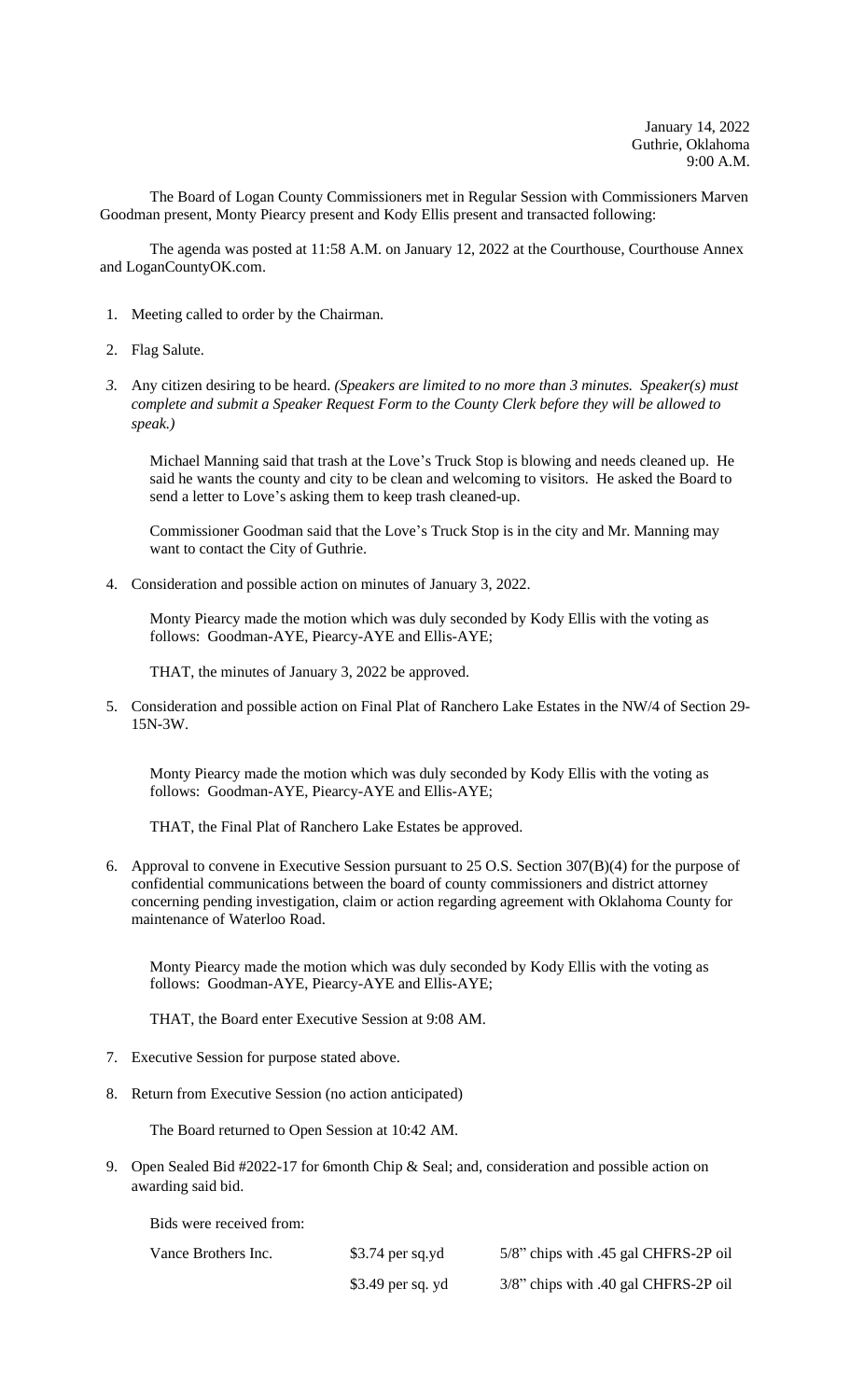The Board of Logan County Commissioners met in Regular Session with Commissioners Marven Goodman present, Monty Piearcy present and Kody Ellis present and transacted following:

The agenda was posted at 11:58 A.M. on January 12, 2022 at the Courthouse, Courthouse Annex and LoganCountyOK.com.

- 1. Meeting called to order by the Chairman.
- 2. Flag Salute.
- *3.* Any citizen desiring to be heard. *(Speakers are limited to no more than 3 minutes. Speaker(s) must complete and submit a Speaker Request Form to the County Clerk before they will be allowed to speak.)*

Michael Manning said that trash at the Love's Truck Stop is blowing and needs cleaned up. He said he wants the county and city to be clean and welcoming to visitors. He asked the Board to send a letter to Love's asking them to keep trash cleaned-up.

Commissioner Goodman said that the Love's Truck Stop is in the city and Mr. Manning may want to contact the City of Guthrie.

4. Consideration and possible action on minutes of January 3, 2022.

Monty Piearcy made the motion which was duly seconded by Kody Ellis with the voting as follows: Goodman-AYE, Piearcy-AYE and Ellis-AYE;

THAT, the minutes of January 3, 2022 be approved.

5. Consideration and possible action on Final Plat of Ranchero Lake Estates in the NW/4 of Section 29- 15N-3W.

Monty Piearcy made the motion which was duly seconded by Kody Ellis with the voting as follows: Goodman-AYE, Piearcy-AYE and Ellis-AYE;

THAT, the Final Plat of Ranchero Lake Estates be approved.

6. Approval to convene in Executive Session pursuant to 25 O.S. Section 307(B)(4) for the purpose of confidential communications between the board of county commissioners and district attorney concerning pending investigation, claim or action regarding agreement with Oklahoma County for maintenance of Waterloo Road.

Monty Piearcy made the motion which was duly seconded by Kody Ellis with the voting as follows: Goodman-AYE, Piearcy-AYE and Ellis-AYE;

THAT, the Board enter Executive Session at 9:08 AM.

- 7. Executive Session for purpose stated above.
- 8. Return from Executive Session (no action anticipated)

The Board returned to Open Session at 10:42 AM.

9. Open Sealed Bid #2022-17 for 6month Chip & Seal; and, consideration and possible action on awarding said bid.

Bids were received from:

| Vance Brothers Inc. | $$3.74$ per sq.yd | 5/8" chips with .45 gal CHFRS-2P oil |
|---------------------|-------------------|--------------------------------------|
|                     | \$3.49 per sq. yd | 3/8" chips with .40 gal CHFRS-2P oil |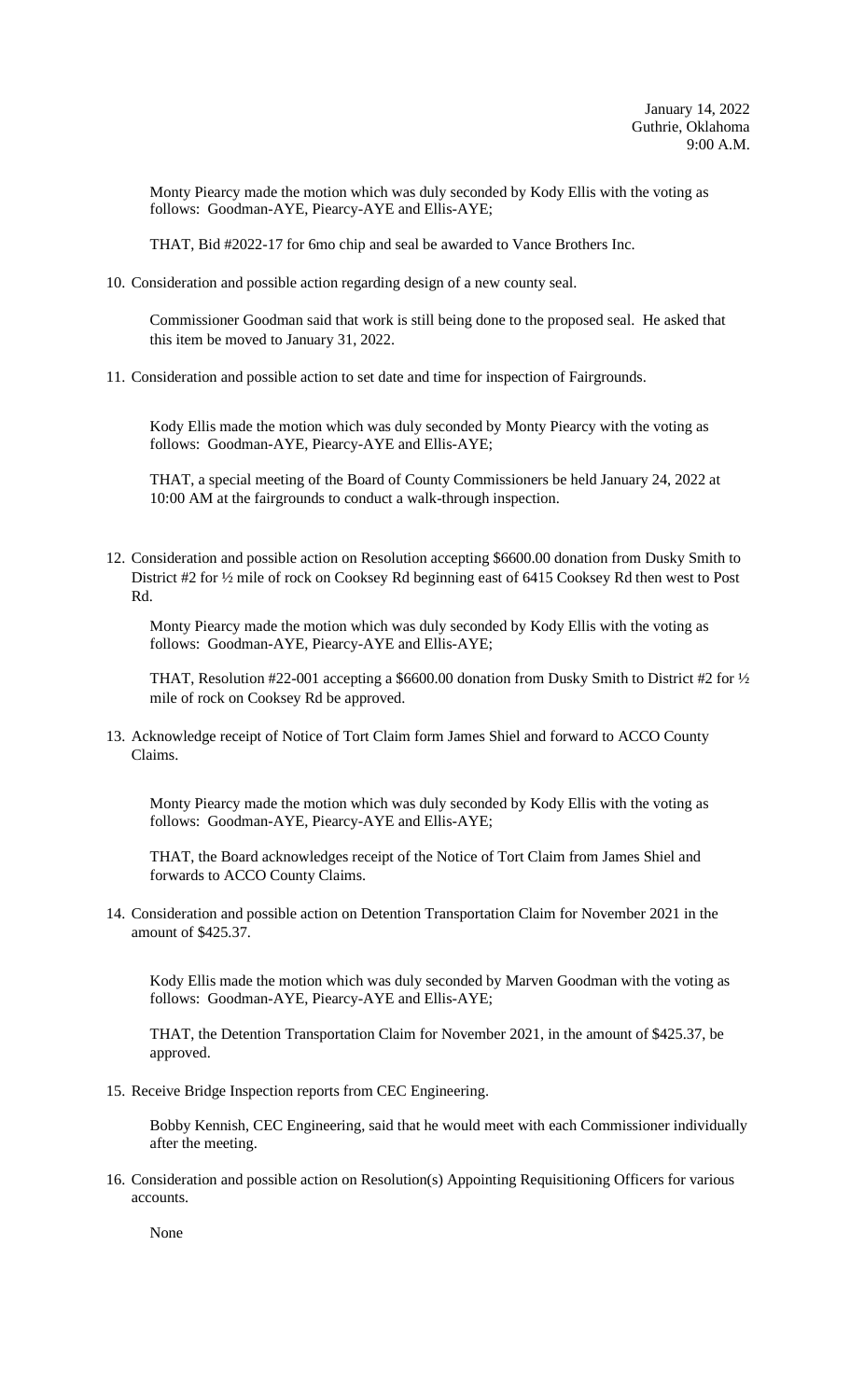Monty Piearcy made the motion which was duly seconded by Kody Ellis with the voting as follows: Goodman-AYE, Piearcy-AYE and Ellis-AYE;

THAT, Bid #2022-17 for 6mo chip and seal be awarded to Vance Brothers Inc.

10. Consideration and possible action regarding design of a new county seal.

Commissioner Goodman said that work is still being done to the proposed seal. He asked that this item be moved to January 31, 2022.

11. Consideration and possible action to set date and time for inspection of Fairgrounds.

Kody Ellis made the motion which was duly seconded by Monty Piearcy with the voting as follows: Goodman-AYE, Piearcy-AYE and Ellis-AYE;

THAT, a special meeting of the Board of County Commissioners be held January 24, 2022 at 10:00 AM at the fairgrounds to conduct a walk-through inspection.

12. Consideration and possible action on Resolution accepting \$6600.00 donation from Dusky Smith to District #2 for ½ mile of rock on Cooksey Rd beginning east of 6415 Cooksey Rd then west to Post Rd.

Monty Piearcy made the motion which was duly seconded by Kody Ellis with the voting as follows: Goodman-AYE, Piearcy-AYE and Ellis-AYE;

THAT, Resolution #22-001 accepting a \$6600.00 donation from Dusky Smith to District #2 for ½ mile of rock on Cooksey Rd be approved.

13. Acknowledge receipt of Notice of Tort Claim form James Shiel and forward to ACCO County Claims.

Monty Piearcy made the motion which was duly seconded by Kody Ellis with the voting as follows: Goodman-AYE, Piearcy-AYE and Ellis-AYE;

THAT, the Board acknowledges receipt of the Notice of Tort Claim from James Shiel and forwards to ACCO County Claims.

14. Consideration and possible action on Detention Transportation Claim for November 2021 in the amount of \$425.37.

Kody Ellis made the motion which was duly seconded by Marven Goodman with the voting as follows: Goodman-AYE, Piearcy-AYE and Ellis-AYE;

THAT, the Detention Transportation Claim for November 2021, in the amount of \$425.37, be approved.

15. Receive Bridge Inspection reports from CEC Engineering.

Bobby Kennish, CEC Engineering, said that he would meet with each Commissioner individually after the meeting.

16. Consideration and possible action on Resolution(s) Appointing Requisitioning Officers for various accounts.

None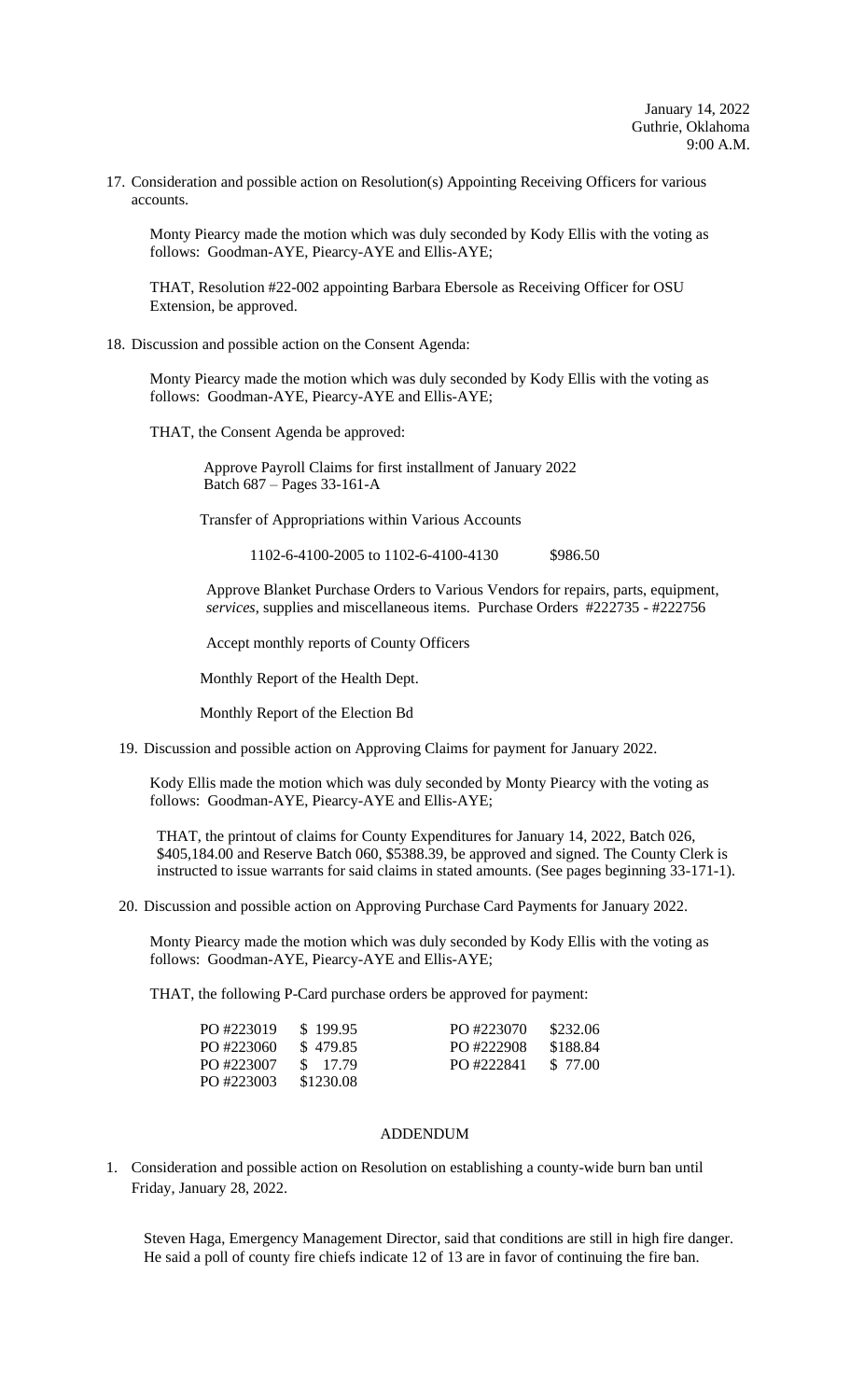17. Consideration and possible action on Resolution(s) Appointing Receiving Officers for various accounts.

Monty Piearcy made the motion which was duly seconded by Kody Ellis with the voting as follows: Goodman-AYE, Piearcy-AYE and Ellis-AYE;

THAT, Resolution #22-002 appointing Barbara Ebersole as Receiving Officer for OSU Extension, be approved.

## 18. Discussion and possible action on the Consent Agenda:

Monty Piearcy made the motion which was duly seconded by Kody Ellis with the voting as follows: Goodman-AYE, Piearcy-AYE and Ellis-AYE;

THAT, the Consent Agenda be approved:

 Approve Payroll Claims for first installment of January 2022 Batch 687 – Pages 33-161-A

Transfer of Appropriations within Various Accounts

1102-6-4100-2005 to 1102-6-4100-4130 \$986.50

Approve Blanket Purchase Orders to Various Vendors for repairs, parts, equipment, *services*, supplies and miscellaneous items. Purchase Orders #222735 - #222756

Accept monthly reports of County Officers

Monthly Report of the Health Dept.

Monthly Report of the Election Bd

19. Discussion and possible action on Approving Claims for payment for January 2022.

Kody Ellis made the motion which was duly seconded by Monty Piearcy with the voting as follows: Goodman-AYE, Piearcy-AYE and Ellis-AYE;

THAT, the printout of claims for County Expenditures for January 14, 2022, Batch 026, \$405,184.00 and Reserve Batch 060, \$5388.39, be approved and signed. The County Clerk is instructed to issue warrants for said claims in stated amounts. (See pages beginning 33-171-1).

20. Discussion and possible action on Approving Purchase Card Payments for January 2022.

Monty Piearcy made the motion which was duly seconded by Kody Ellis with the voting as follows: Goodman-AYE, Piearcy-AYE and Ellis-AYE;

THAT, the following P-Card purchase orders be approved for payment:

| PO #223019 | \$199.95  | PO #223070 | \$232.06 |
|------------|-----------|------------|----------|
| PO #223060 | \$479.85  | PO #222908 | \$188.84 |
| PO #223007 | \$17.79   | PO #222841 | \$ 77.00 |
| PO #223003 | \$1230.08 |            |          |

## ADDENDUM

1. Consideration and possible action on Resolution on establishing a county-wide burn ban until Friday, January 28, 2022.

Steven Haga, Emergency Management Director, said that conditions are still in high fire danger. He said a poll of county fire chiefs indicate 12 of 13 are in favor of continuing the fire ban.